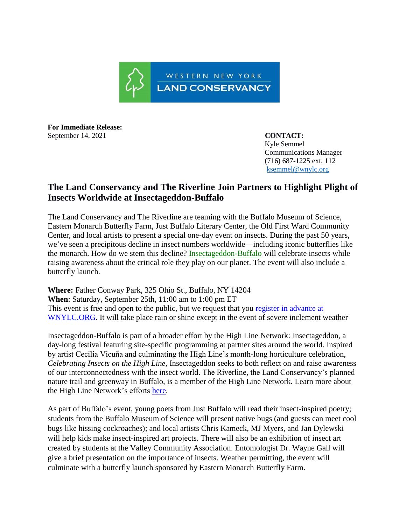

**For Immediate Release:**  September 14, 2021 **CONTACT:** 

 Kyle Semmel Communications Manager (716) 687-1225 ext. 112 [ksemmel@wnylc.org](mailto:ksemmel@wnylc.org) 

## **The Land Conservancy and The Riverline Join Partners to Highlight Plight of Insects Worldwide at Insectageddon-Buffalo**

The Land Conservancy and The Riverline are teaming with the Buffalo Museum of Science, Eastern Monarch Butterfly Farm, Just Buffalo Literary Center, the Old First Ward Community Center, and local artists to present a special one-day event on insects. During the past 50 years, we've seen a precipitous decline in insect numbers worldwide—including iconic butterflies like the monarch. How do we stem this decline? [Insectageddon-Buffalo](https://www.wnylc.org/insectageddon) will celebrate insects while raising awareness about the critical role they play on our planet. The event will also include a butterfly launch.

**Where:** Father Conway Park, 325 Ohio St., Buffalo, NY 14204 **When**: Saturday, September 25th, 11:00 am to 1:00 pm ET This event is free and open to the public, but we request that you register in advance at [WNYLC.ORG.](https://www.wnylc.org/insectageddon) It will take place rain or shine except in the event of severe inclement weather

Insectageddon-Buffalo is part of a broader effort by the High Line Network: Insectageddon, a day-long festival featuring site-specific programming at partner sites around the world. Inspired by artist Cecilia Vicuña and culminating the High Line's month-long horticulture celebration, *Celebrating Insects on the High Line,* Insectageddon seeks to both reflect on and raise awareness of our interconnectedness with the insect world. The Riverline, the Land Conservancy's planned nature trail and greenway in Buffalo, is a member of the High Line Network. Learn more about the High Line Network's efforts [here.](https://www.thehighline.org/insectageddon-partner-events/)

As part of Buffalo's event, young poets from Just Buffalo will read their insect-inspired poetry; students from the Buffalo Museum of Science will present native bugs (and guests can meet cool bugs like hissing cockroaches); and local artists Chris Kameck, MJ Myers, and Jan Dylewski will help kids make insect-inspired art projects. There will also be an exhibition of insect art created by students at the Valley Community Association. Entomologist Dr. Wayne Gall will give a brief presentation on the importance of insects. Weather permitting, the event will culminate with a butterfly launch sponsored by Eastern Monarch Butterfly Farm.